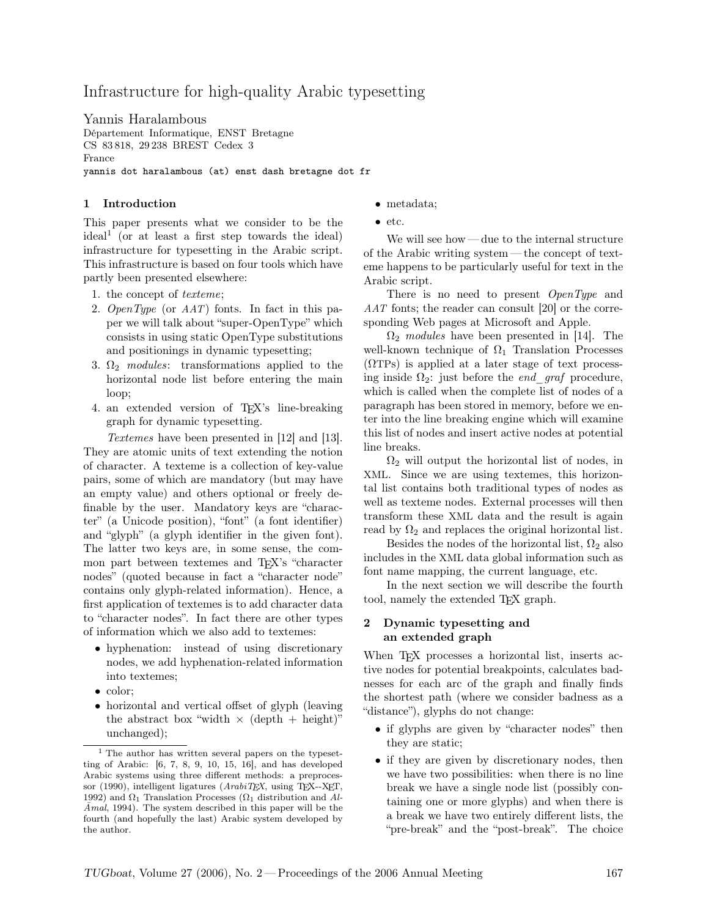# Infrastructure for high-quality Arabic typesetting

Yannis Haralambous Département Informatique, ENST Bretagne CS 83 818, 29 238 BREST Cedex 3 France yannis dot haralambous (at) enst dash bretagne dot fr

## 1 Introduction

This paper presents what we consider to be the ideal<sup>1</sup> (or at least a first step towards the ideal) infrastructure for typesetting in the Arabic script. This infrastructure is based on four tools which have partly been presented elsewhere:

- 1. the concept of texteme;
- 2. OpenType (or AAT) fonts. In fact in this paper we will talk about "super-OpenType" which consists in using static OpenType substitutions and positionings in dynamic typesetting;
- 3.  $\Omega_2$  modules: transformations applied to the horizontal node list before entering the main loop;
- 4. an extended version of TEX's line-breaking graph for dynamic typesetting.

Textemes have been presented in [12] and [13]. They are atomic units of text extending the notion of character. A texteme is a collection of key-value pairs, some of which are mandatory (but may have an empty value) and others optional or freely definable by the user. Mandatory keys are "character" (a Unicode position), "font" (a font identifier) and "glyph" (a glyph identifier in the given font). The latter two keys are, in some sense, the common part between textemes and TEX's "character nodes" (quoted because in fact a "character node" contains only glyph-related information). Hence, a first application of textemes is to add character data to "character nodes". In fact there are other types of information which we also add to textemes:

- hyphenation: instead of using discretionary nodes, we add hyphenation-related information into textemes;
- color:
- horizontal and vertical offset of glyph (leaving the abstract box "width  $\times$  (depth + height)" unchanged);
- metadata;
- etc.

We will see how— due to the internal structure of the Arabic writing system — the concept of texteme happens to be particularly useful for text in the Arabic script.

There is no need to present *OpenType* and AAT fonts; the reader can consult [20] or the corresponding Web pages at Microsoft and Apple.

 $\Omega_2$  modules have been presented in [14]. The well-known technique of  $\Omega_1$  Translation Processes  $(\Omega \text{TPs})$  is applied at a later stage of text processing inside  $\Omega_2$ : just before the *end* graf procedure, which is called when the complete list of nodes of a paragraph has been stored in memory, before we enter into the line breaking engine which will examine this list of nodes and insert active nodes at potential line breaks.

 $\Omega_2$  will output the horizontal list of nodes, in XML. Since we are using textemes, this horizontal list contains both traditional types of nodes as well as texteme nodes. External processes will then transform these XML data and the result is again read by  $\Omega_2$  and replaces the original horizontal list.

Besides the nodes of the horizontal list,  $\Omega_2$  also includes in the XML data global information such as font name mapping, the current language, etc.

In the next section we will describe the fourth tool, namely the extended TEX graph.

#### 2 Dynamic typesetting and an extended graph

When T<sub>E</sub>X processes a horizontal list, inserts active nodes for potential breakpoints, calculates badnesses for each arc of the graph and finally finds the shortest path (where we consider badness as a "distance"), glyphs do not change:

- if glyphs are given by "character nodes" then they are static;
- if they are given by discretionary nodes, then we have two possibilities: when there is no line break we have a single node list (possibly containing one or more glyphs) and when there is a break we have two entirely different lists, the "pre-break" and the "post-break". The choice

<sup>1</sup> The author has written several papers on the typesetting of Arabic: [6, 7, 8, 9, 10, 15, 16], and has developed Arabic systems using three different methods: a preprocessor (1990), intelligent ligatures ( $Arabi$  $TEX$ , using T<sub>E</sub>X--X<sub>E</sub>T, 1992) and  $\Omega_1$  Translation Processes ( $\Omega_1$  distribution and Al- $\overline{A}$ mal, 1994). The system described in this paper will be the fourth (and hopefully the last) Arabic system developed by the author.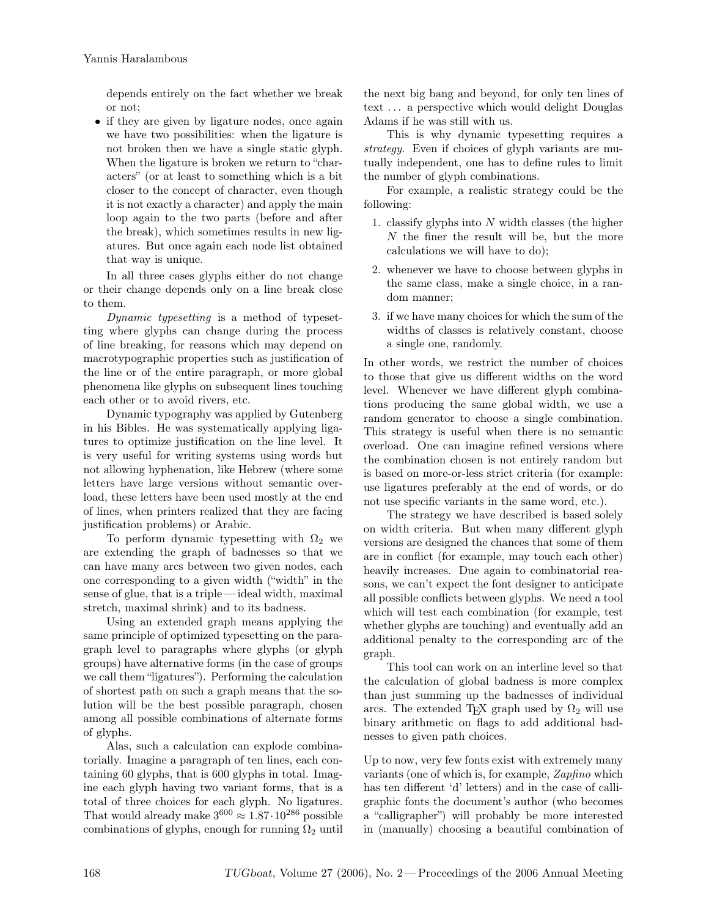depends entirely on the fact whether we break or not;

• if they are given by ligature nodes, once again we have two possibilities: when the ligature is not broken then we have a single static glyph. When the ligature is broken we return to "characters" (or at least to something which is a bit closer to the concept of character, even though it is not exactly a character) and apply the main loop again to the two parts (before and after the break), which sometimes results in new ligatures. But once again each node list obtained that way is unique.

In all three cases glyphs either do not change or their change depends only on a line break close to them.

Dynamic typesetting is a method of typesetting where glyphs can change during the process of line breaking, for reasons which may depend on macrotypographic properties such as justification of the line or of the entire paragraph, or more global phenomena like glyphs on subsequent lines touching each other or to avoid rivers, etc.

Dynamic typography was applied by Gutenberg in his Bibles. He was systematically applying ligatures to optimize justification on the line level. It is very useful for writing systems using words but not allowing hyphenation, like Hebrew (where some letters have large versions without semantic overload, these letters have been used mostly at the end of lines, when printers realized that they are facing justification problems) or Arabic.

To perform dynamic typesetting with  $\Omega_2$  we are extending the graph of badnesses so that we can have many arcs between two given nodes, each one corresponding to a given width ("width" in the sense of glue, that is a triple — ideal width, maximal stretch, maximal shrink) and to its badness.

Using an extended graph means applying the same principle of optimized typesetting on the paragraph level to paragraphs where glyphs (or glyph groups) have alternative forms (in the case of groups we call them "ligatures"). Performing the calculation of shortest path on such a graph means that the solution will be the best possible paragraph, chosen among all possible combinations of alternate forms of glyphs.

Alas, such a calculation can explode combinatorially. Imagine a paragraph of ten lines, each containing 60 glyphs, that is 600 glyphs in total. Imagine each glyph having two variant forms, that is a total of three choices for each glyph. No ligatures. That would already make  $3^{600} \approx 1.87 \cdot 10^{286}$  possible combinations of glyphs, enough for running  $\Omega_2$  until the next big bang and beyond, for only ten lines of text . . . a perspective which would delight Douglas Adams if he was still with us.

This is why dynamic typesetting requires a strategy. Even if choices of glyph variants are mutually independent, one has to define rules to limit the number of glyph combinations.

For example, a realistic strategy could be the following:

- 1. classify glyphs into  $N$  width classes (the higher N the finer the result will be, but the more calculations we will have to do);
- 2. whenever we have to choose between glyphs in the same class, make a single choice, in a random manner;
- 3. if we have many choices for which the sum of the widths of classes is relatively constant, choose a single one, randomly.

In other words, we restrict the number of choices to those that give us different widths on the word level. Whenever we have different glyph combinations producing the same global width, we use a random generator to choose a single combination. This strategy is useful when there is no semantic overload. One can imagine refined versions where the combination chosen is not entirely random but is based on more-or-less strict criteria (for example: use ligatures preferably at the end of words, or do not use specific variants in the same word, etc.).

The strategy we have described is based solely on width criteria. But when many different glyph versions are designed the chances that some of them are in conflict (for example, may touch each other) heavily increases. Due again to combinatorial reasons, we can't expect the font designer to anticipate all possible conflicts between glyphs. We need a tool which will test each combination (for example, test whether glyphs are touching) and eventually add an additional penalty to the corresponding arc of the graph.

This tool can work on an interline level so that the calculation of global badness is more complex than just summing up the badnesses of individual arcs. The extended T<sub>E</sub>X graph used by  $\Omega_2$  will use binary arithmetic on flags to add additional badnesses to given path choices.

Up to now, very few fonts exist with extremely many variants (one of which is, for example, Zapfino which has ten different 'd' letters) and in the case of calligraphic fonts the document's author (who becomes a "calligrapher") will probably be more interested in (manually) choosing a beautiful combination of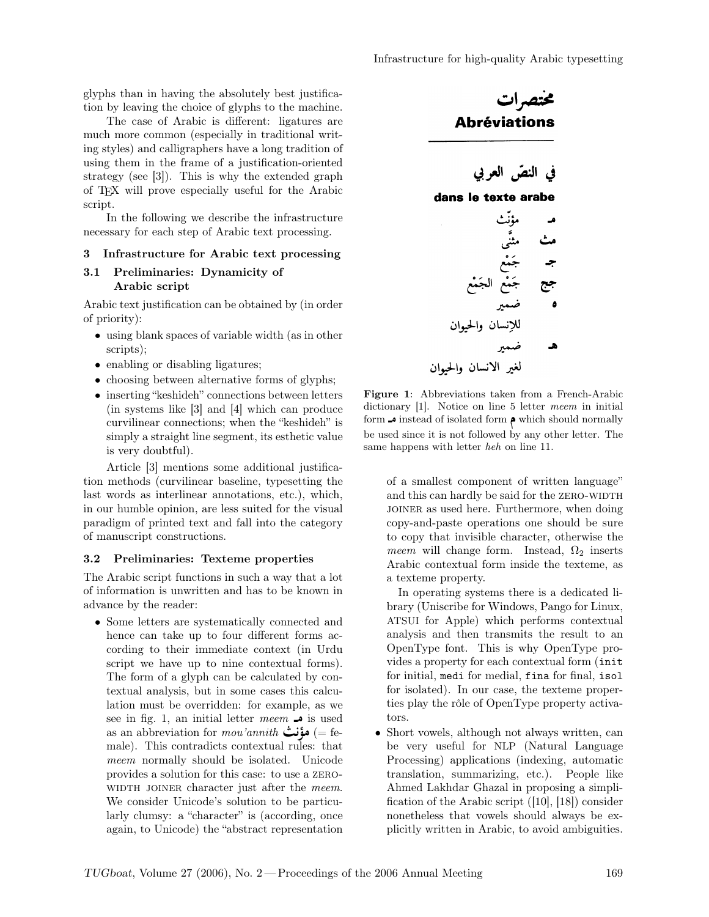glyphs than in having the absolutely best justification by leaving the choice of glyphs to the machine.

The case of Arabic is different: ligatures are much more common (especially in traditional writing styles) and calligraphers have a long tradition of using them in the frame of a justification-oriented strategy (see [3]). This is why the extended graph of TEX will prove especially useful for the Arabic script.

In the following we describe the infrastructure necessary for each step of Arabic text processing.

#### 3 Infrastructure for Arabic text processing

#### 3.1 Preliminaries: Dynamicity of Arabic script

Arabic text justification can be obtained by (in order of priority):

- using blank spaces of variable width (as in other scripts);
- enabling or disabling ligatures;
- choosing between alternative forms of glyphs;
- inserting "keshideh" connections between letters (in systems like [3] and [4] which can produce curvilinear connections; when the "keshideh" is simply a straight line segment, its esthetic value is very doubtful).

Article [3] mentions some additional justification methods (curvilinear baseline, typesetting the last words as interlinear annotations, etc.), which, in our humble opinion, are less suited for the visual paradigm of printed text and fall into the category of manuscript constructions.

#### 3.2 Preliminaries: Texteme properties

The Arabic script functions in such a way that a lot of information is unwritten and has to be known in advance by the reader:

• Some letters are systematically connected and hence can take up to four different forms according to their immediate context (in Urdu script we have up to nine contextual forms). The form of a glyph can be calculated by contextual analysis, but in some cases this calculation must be overridden: for example, as we see in fig. 1, an initial letter meem  $\rightarrow$  is used as an abbreviation for  $mou'annith$  هؤنث (= female). This contradicts contextual rules: that meem normally should be isolated. Unicode provides a solution for this case: to use a zero-WIDTH JOINER character just after the meem. We consider Unicode's solution to be particularly clumsy: a "character" is (according, once again, to Unicode) the "abstract representation



dictionary [1]. Notice on line 5 letter meem in initial form  $\clubsuit$  instead of isolated form  $\spadesuit$  which should normally be used since it is not followed by any other letter. The same happens with letter heh on line 11.

of a smallest component of written language" and this can hardly be said for the ZERO-WIDTH joiner as used here. Furthermore, when doing copy-and-paste operations one should be sure to copy that invisible character, otherwise the meem will change form. Instead,  $\Omega_2$  inserts Arabic contextual form inside the texteme, as a texteme property.

In operating systems there is a dedicated library (Uniscribe for Windows, Pango for Linux, ATSUI for Apple) which performs contextual analysis and then transmits the result to an OpenType font. This is why OpenType provides a property for each contextual form (init for initial, medi for medial, fina for final, isol for isolated). In our case, the texteme properties play the rôle of OpenType property activators.

• Short vowels, although not always written, can be very useful for NLP (Natural Language Processing) applications (indexing, automatic translation, summarizing, etc.). People like Ahmed Lakhdar Ghazal in proposing a simplification of the Arabic script ([10], [18]) consider nonetheless that vowels should always be explicitly written in Arabic, to avoid ambiguities.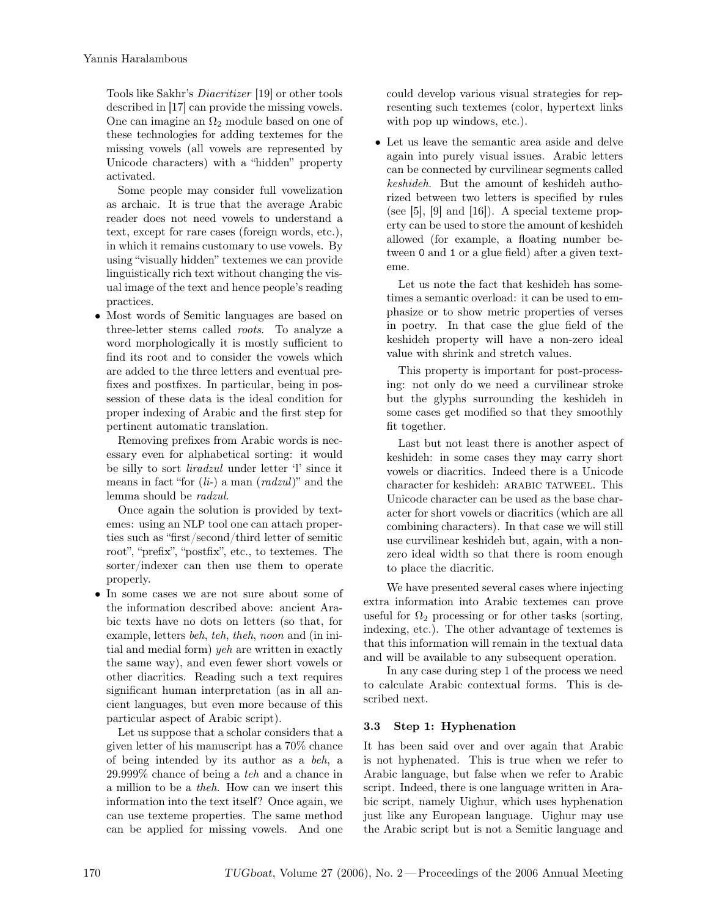Tools like Sakhr's Diacritizer [19] or other tools described in [17] can provide the missing vowels. One can imagine an  $\Omega_2$  module based on one of these technologies for adding textemes for the missing vowels (all vowels are represented by Unicode characters) with a "hidden" property activated.

Some people may consider full vowelization as archaic. It is true that the average Arabic reader does not need vowels to understand a text, except for rare cases (foreign words, etc.), in which it remains customary to use vowels. By using "visually hidden" textemes we can provide linguistically rich text without changing the visual image of the text and hence people's reading practices.

• Most words of Semitic languages are based on three-letter stems called roots. To analyze a word morphologically it is mostly sufficient to find its root and to consider the vowels which are added to the three letters and eventual prefixes and postfixes. In particular, being in possession of these data is the ideal condition for proper indexing of Arabic and the first step for pertinent automatic translation.

Removing prefixes from Arabic words is necessary even for alphabetical sorting: it would be silly to sort liradzul under letter 'l' since it means in fact "for  $(l_i-)$  a man  $\text{ } (radzul)$ " and the lemma should be radzul.

Once again the solution is provided by textemes: using an NLP tool one can attach properties such as "first/second/third letter of semitic root", "prefix", "postfix", etc., to textemes. The sorter/indexer can then use them to operate properly.

• In some cases we are not sure about some of the information described above: ancient Arabic texts have no dots on letters (so that, for example, letters beh, teh, theh, noon and (in initial and medial form) yeh are written in exactly the same way), and even fewer short vowels or other diacritics. Reading such a text requires significant human interpretation (as in all ancient languages, but even more because of this particular aspect of Arabic script).

Let us suppose that a scholar considers that a given letter of his manuscript has a 70% chance of being intended by its author as a beh, a 29.999% chance of being a teh and a chance in a million to be a theh. How can we insert this information into the text itself? Once again, we can use texteme properties. The same method can be applied for missing vowels. And one

could develop various visual strategies for representing such textemes (color, hypertext links with pop up windows, etc.).

• Let us leave the semantic area aside and delve again into purely visual issues. Arabic letters can be connected by curvilinear segments called keshideh. But the amount of keshideh authorized between two letters is specified by rules (see [5], [9] and [16]). A special texteme property can be used to store the amount of keshideh allowed (for example, a floating number between 0 and 1 or a glue field) after a given texteme.

Let us note the fact that keshideh has sometimes a semantic overload: it can be used to emphasize or to show metric properties of verses in poetry. In that case the glue field of the keshideh property will have a non-zero ideal value with shrink and stretch values.

This property is important for post-processing: not only do we need a curvilinear stroke but the glyphs surrounding the keshideh in some cases get modified so that they smoothly fit together.

Last but not least there is another aspect of keshideh: in some cases they may carry short vowels or diacritics. Indeed there is a Unicode character for keshideh: ARABIC TATWEEL. This Unicode character can be used as the base character for short vowels or diacritics (which are all combining characters). In that case we will still use curvilinear keshideh but, again, with a nonzero ideal width so that there is room enough to place the diacritic.

We have presented several cases where injecting extra information into Arabic textemes can prove useful for  $\Omega_2$  processing or for other tasks (sorting, indexing, etc.). The other advantage of textemes is that this information will remain in the textual data and will be available to any subsequent operation.

In any case during step 1 of the process we need to calculate Arabic contextual forms. This is described next.

## 3.3 Step 1: Hyphenation

It has been said over and over again that Arabic is not hyphenated. This is true when we refer to Arabic language, but false when we refer to Arabic script. Indeed, there is one language written in Arabic script, namely Uighur, which uses hyphenation just like any European language. Uighur may use the Arabic script but is not a Semitic language and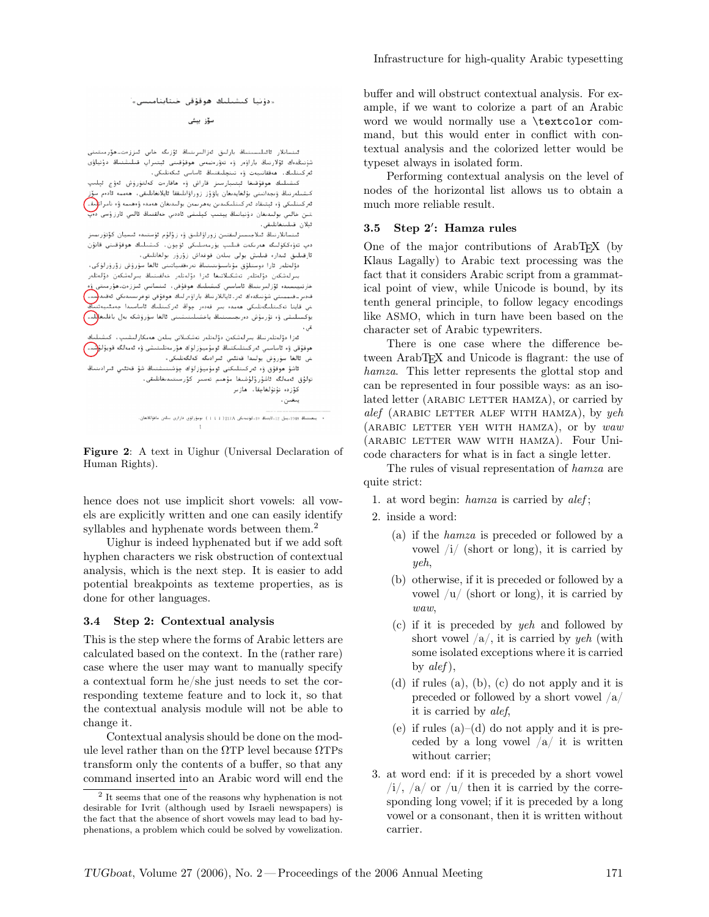سۆز بېشى

ئىنسانلار ئائىلىسىنىڭ بارلىق ئەزالىرىنىڭ ئۆزىگە خاس ئىززەتــھۆرىىتىنى شۇنىڭدەك ئۆلارنىڭ باراۋەر ۋە تەۋرەنبەس ھوقۇقىنى ئېتىراپ قىلىشنىڭ دۇنياۋى ئەركىنلىك، مەققانىيەت ۋە تىنچلىقنىڭ ئاساسى ئىكەنلىكى،

كىشىلىك ھوقۇقىغا ئېتىبارسىز قاراش ۋە ھاقارەت كەلتۈرۈش ئەۋج ئېلىپ كىشىلەرنىڭ ۋىجەانىتى بۇلغايدىغان ياۋۇز زوراۋانلىققا ئايلانغانلىقى، ھەممە ئادەم سۆز ئەركىتلىكى ۋە ئېتىقاد ئەركىتلىكىدىن بەھرىمەن بولىدىغان ھەمدە ۋەھىمە ۋە نامرات<mark>لىق</mark>ى تىن خالىي بولىدىغان دۇنيانىڭ يېتىپ كېلىشى ئاددىي خەلقنىڭ ئالىي ئارزۇسى دە<del>ن</del> ئىلان قىلىنغانلىقى،

قىنسانلارنىڭ قىلاجىسىزلىقتىن زوراۋانلىق ۋە زۇلۇم ئۆستىدە ئىسيان كۆتۈرىمىز دىي تەۋەككۈلىگە ھەرىكەت قىلىپ يۇرمەسلىكى ئۈچۈن، كىشىلىك ھوقۇقىنى قانۇن ئارقىلىق ئىدار، قىلىش يولى بىلەن قوغداش زۆرۈر بولغانلىقى،

دۆلەتلەر ئارا دوستلۇق مۇناسىۋىتىتىڭ تەرەققىياتىنى ئالغا سۈرۈش زۆرۈرلۈكى، يىرلەشكەن دۆلەتلەر تەشكىلاتىغا ئەزا دۆلەتلەر خەلقىتىلغ بىرلەشكەن دۆلەتلەر دارتىيىسىد، ئۇزلىرىنىڭ ئاساسىي كىشىلىك ھوقۇقى، ئىنسانىي ئىززەت ھۆرمىتى ۋە قەدىر\_قىبىنىتى شۇنىڭدەك ئەر.ئاياللارنىڭ باراۋەرلىك ھوقۇقى توغرىسىدىكى ئەقىد<mark>(</mark>سىد<sup>)</sup> ﻨﻰ ﻗﺎﻳﺘﺎ ﺗﻪﻛﯩﺘﻠﯩﮕﻪﻧﻠﯩﻜﻰ ﮬﻪﻣﺪﻩ ﺑﯩﺮ ﻗﻪﺩﻩﺭ ﭼﻮﯓ ﺋﻪﺭﻛﯩﻨﻠﯩﯔ ﺋﺎﺳﺎﺳﯩﺪﺍ ﺟﻪﻣﺌﯩﻴﻪﺗ يۇكسىلىشى ۋە تۇرمۇش دەرىجىسىنىڭ ياخشىلىنىشىنى ئالغا سۆرۈشكە بەل باغلىغا<mark>للىم</mark> نی ، قازا دۆلەتلەرنىڭ بىرلەشكەن دۆلەتلەر تەشكىلاتى بىلەن ھەمكارلىشىپ، كىشىلىك

موقۇقى ۋە ئاساسىي ئەركىتلىكنىڭ ئومۇميۇزلۇك ھۆرمەتلىنىشى ۋە ئەمەلگە قويۇلۇ<mark>شىد)</mark> .<br>ش ئالغا سۆرۈش يولىدا قاتلىي ئىرادىگە كەلگەنلىكى، نانت سۈرۈش يۈنندا ئاتىنى سراست ساساسىسى.<br>ئاشۇ ھوقۇق ۋە ئەركىنلىكنى ئومۇميۇزلۇك چۈشىنىشنىڭ شۇ قەتقىي ئىرادىنىڭ تولۇق ئەمەلگە ئاشۇرۇلۇشىغا مۇھىم تەسىر كۆرسىتىدىغانلىقى، كۆزدە تۇتۇلغاچقا، ھازىر يتغين،

+ - يىغىنىڭ 1948م، جل 12ماينىڭ (11مۇنىدىكى 1712{ 1 1 1 ) نومۇرلۇق قارارى بىلەن ماقۇللانغان.

Figure 2: A text in Uighur (Universal Declaration of Human Rights).

hence does not use implicit short vowels: all vowels are explicitly written and one can easily identify syllables and hyphenate words between them.<sup>2</sup>

Uighur is indeed hyphenated but if we add soft hyphen characters we risk obstruction of contextual analysis, which is the next step. It is easier to add potential breakpoints as texteme properties, as is done for other languages.

#### 3.4 Step 2: Contextual analysis

This is the step where the forms of Arabic letters are calculated based on the context. In the (rather rare) case where the user may want to manually specify a contextual form he/she just needs to set the corresponding texteme feature and to lock it, so that the contextual analysis module will not be able to change it.

Contextual analysis should be done on the module level rather than on the  $\Omega$ TP level because  $\Omega$ TPs transform only the contents of a buffer, so that any command inserted into an Arabic word will end the buffer and will obstruct contextual analysis. For example, if we want to colorize a part of an Arabic word we would normally use a \textcolor command, but this would enter in conflict with contextual analysis and the colorized letter would be typeset always in isolated form.

Performing contextual analysis on the level of nodes of the horizontal list allows us to obtain a much more reliable result.

### 3.5 Step 2': Hamza rules

One of the major contributions of ArabT<sub>EX</sub> (by Klaus Lagally) to Arabic text processing was the fact that it considers Arabic script from a grammatical point of view, while Unicode is bound, by its tenth general principle, to follow legacy encodings like ASMO, which in turn have been based on the character set of Arabic typewriters.

There is one case where the difference between ArabT<sub>E</sub>X and Unicode is flagrant: the use of hamza. This letter represents the glottal stop and can be represented in four possible ways: as an isolated letter (ARABIC LETTER HAMZA), or carried by  $alef$  (ARABIC LETTER ALEF WITH HAMZA), by yeh (arabic letter yeh with hamza), or by waw (arabic letter waw with hamza). Four Unicode characters for what is in fact a single letter.

The rules of visual representation of hamza are quite strict:

- 1. at word begin:  $hamza$  is carried by  $alef$ ;
- 2. inside a word:
	- (a) if the hamza is preceded or followed by a vowel /i/ (short or long), it is carried by yeh,
	- (b) otherwise, if it is preceded or followed by a vowel  $\left| u \right|$  (short or long), it is carried by waw,
	- (c) if it is preceded by yeh and followed by short vowel  $\langle a \rangle$ , it is carried by yeh (with some isolated exceptions where it is carried by  $alef$ ,
	- (d) if rules (a), (b), (c) do not apply and it is preceded or followed by a short vowel /a/ it is carried by alef,
	- (e) if rules  $(a)$ –(d) do not apply and it is preceded by a long vowel  $\langle a \rangle$  it is written without carrier;
- 3. at word end: if it is preceded by a short vowel  $\langle i \rangle$ ,  $\langle a \rangle$  or  $\langle u \rangle$  then it is carried by the corresponding long vowel; if it is preceded by a long vowel or a consonant, then it is written without carrier.

<sup>2</sup> It seems that one of the reasons why hyphenation is not desirable for Ivrit (although used by Israeli newspapers) is the fact that the absence of short vowels may lead to bad hyphenations, a problem which could be solved by vowelization.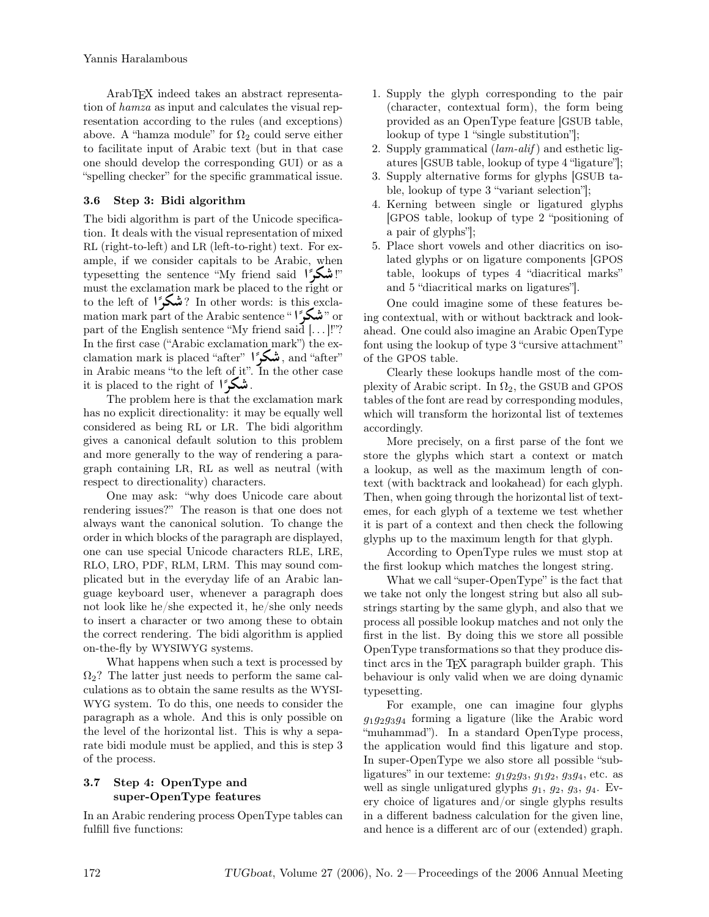ArabTEX indeed takes an abstract representation of hamza as input and calculates the visual representation according to the rules (and exceptions) above. A "hamza module" for  $\Omega_2$  could serve either to facilitate input of Arabic text (but in that case one should develop the corresponding GUI) or as a "spelling checker" for the specific grammatical issue.

## 3.6 Step 3: Bidi algorithm

The bidi algorithm is part of the Unicode specification. It deals with the visual representation of mixed RL (right-to-left) and LR (left-to-right) text. For example, if we consider capitals to be Arabic, when typesetting the sentence "My friend said "?" must the exclamation mark be placed to the right or to the left of  $\mathcal{C}^{\mathbf{S}}$  In other words: is this exclamation mark part of the Arabic sentence " " مَسْكُورًا part of the English sentence "My friend said [...]!"? In the first case ("Arabic exclamation mark") the exclamation mark is placed "after" , and "after" , and "after" ,  $\frac{1}{2}$  in Arabic means "to the left of it". In the other case it is placed to the right of  $\int_{-\infty}^{\infty}$ .

 The problem here is that the exclamation mark has no explicit directionality: it may be equally well considered as being RL or LR. The bidi algorithm gives a canonical default solution to this problem and more generally to the way of rendering a paragraph containing LR, RL as well as neutral (with respect to directionality) characters.

One may ask: "why does Unicode care about rendering issues?" The reason is that one does not always want the canonical solution. To change the order in which blocks of the paragraph are displayed, one can use special Unicode characters RLE, LRE, RLO, LRO, PDF, RLM, LRM. This may sound complicated but in the everyday life of an Arabic language keyboard user, whenever a paragraph does not look like he/she expected it, he/she only needs to insert a character or two among these to obtain the correct rendering. The bidi algorithm is applied on-the-fly by WYSIWYG systems.

What happens when such a text is processed by  $\Omega_2$ ? The latter just needs to perform the same calculations as to obtain the same results as the WYSI-WYG system. To do this, one needs to consider the paragraph as a whole. And this is only possible on the level of the horizontal list. This is why a separate bidi module must be applied, and this is step 3 of the process.

## 3.7 Step 4: OpenType and super-OpenType features

In an Arabic rendering process OpenType tables can fulfill five functions:

- 1. Supply the glyph corresponding to the pair (character, contextual form), the form being provided as an OpenType feature [GSUB table, lookup of type 1 "single substitution"];
- 2. Supply grammatical  $(lam\text{-}alif)$  and esthetic ligatures [GSUB table, lookup of type 4 "ligature"];
- 3. Supply alternative forms for glyphs [GSUB table, lookup of type 3 "variant selection"];
- 4. Kerning between single or ligatured glyphs [GPOS table, lookup of type 2 "positioning of a pair of glyphs"];
- 5. Place short vowels and other diacritics on isolated glyphs or on ligature components [GPOS table, lookups of types 4 "diacritical marks" and 5 "diacritical marks on ligatures"].

One could imagine some of these features being contextual, with or without backtrack and lookahead. One could also imagine an Arabic OpenType font using the lookup of type 3 "cursive attachment" of the GPOS table.

Clearly these lookups handle most of the complexity of Arabic script. In  $\Omega_2$ , the GSUB and GPOS tables of the font are read by corresponding modules, which will transform the horizontal list of textemes accordingly.

More precisely, on a first parse of the font we store the glyphs which start a context or match a lookup, as well as the maximum length of context (with backtrack and lookahead) for each glyph. Then, when going through the horizontal list of textemes, for each glyph of a texteme we test whether it is part of a context and then check the following glyphs up to the maximum length for that glyph.

According to OpenType rules we must stop at the first lookup which matches the longest string.

What we call "super-OpenType" is the fact that we take not only the longest string but also all substrings starting by the same glyph, and also that we process all possible lookup matches and not only the first in the list. By doing this we store all possible OpenType transformations so that they produce distinct arcs in the TEX paragraph builder graph. This behaviour is only valid when we are doing dynamic typesetting.

For example, one can imagine four glyphs  $g_1g_2g_3g_4$  forming a ligature (like the Arabic word "muhammad"). In a standard OpenType process, the application would find this ligature and stop. In super-OpenType we also store all possible "subligatures" in our texteme:  $g_1g_2g_3$ ,  $g_1g_2$ ,  $g_3g_4$ , etc. as well as single unligatured glyphs  $g_1$ ,  $g_2$ ,  $g_3$ ,  $g_4$ . Every choice of ligatures and/or single glyphs results in a different badness calculation for the given line, and hence is a different arc of our (extended) graph.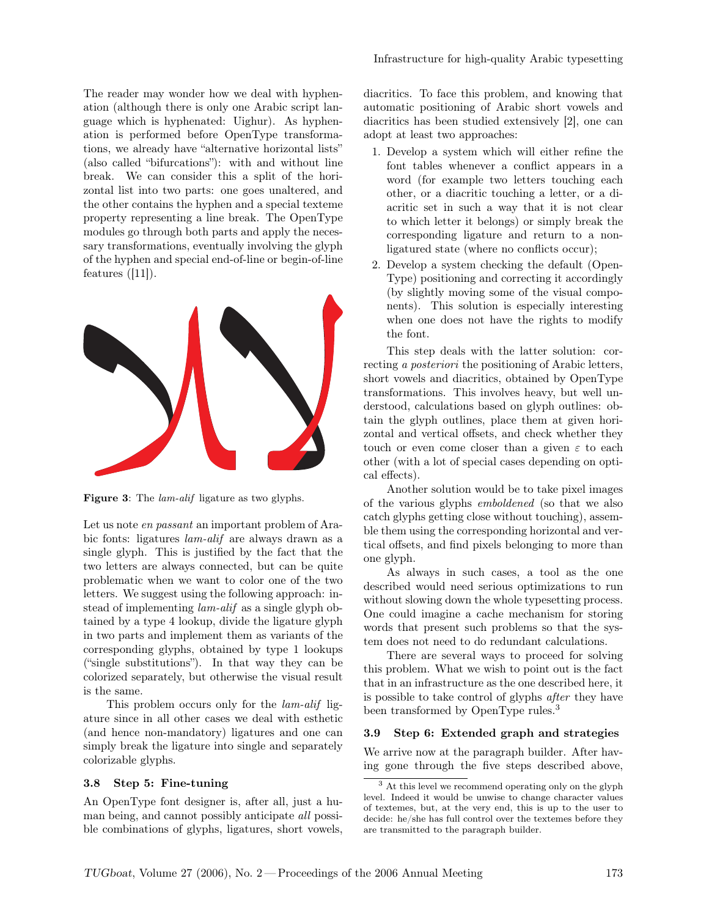The reader may wonder how we deal with hyphenation (although there is only one Arabic script language which is hyphenated: Uighur). As hyphenation is performed before OpenType transformations, we already have "alternative horizontal lists" (also called "bifurcations"): with and without line break. We can consider this a split of the horizontal list into two parts: one goes unaltered, and the other contains the hyphen and a special texteme property representing a line break. The OpenType modules go through both parts and apply the necessary transformations, eventually involving the glyph of the hyphen and special end-of-line or begin-of-line features  $([11])$ .



Figure 3: The *lam-alif* ligature as two glyphs.

Let us note *en passant* an important problem of Arabic fonts: ligatures lam-alif are always drawn as a single glyph. This is justified by the fact that the two letters are always connected, but can be quite problematic when we want to color one of the two letters. We suggest using the following approach: instead of implementing lam-alif as a single glyph obtained by a type 4 lookup, divide the ligature glyph in two parts and implement them as variants of the corresponding glyphs, obtained by type 1 lookups ("single substitutions"). In that way they can be colorized separately, but otherwise the visual result is the same.

This problem occurs only for the lam-alif ligature since in all other cases we deal with esthetic (and hence non-mandatory) ligatures and one can simply break the ligature into single and separately colorizable glyphs.

#### 3.8 Step 5: Fine-tuning

An OpenType font designer is, after all, just a human being, and cannot possibly anticipate all possible combinations of glyphs, ligatures, short vowels, diacritics. To face this problem, and knowing that automatic positioning of Arabic short vowels and diacritics has been studied extensively [2], one can adopt at least two approaches:

- 1. Develop a system which will either refine the font tables whenever a conflict appears in a word (for example two letters touching each other, or a diacritic touching a letter, or a diacritic set in such a way that it is not clear to which letter it belongs) or simply break the corresponding ligature and return to a nonligatured state (where no conflicts occur);
- 2. Develop a system checking the default (Open-Type) positioning and correcting it accordingly (by slightly moving some of the visual components). This solution is especially interesting when one does not have the rights to modify the font.

This step deals with the latter solution: correcting a *posteriori* the positioning of Arabic letters, short vowels and diacritics, obtained by OpenType transformations. This involves heavy, but well understood, calculations based on glyph outlines: obtain the glyph outlines, place them at given horizontal and vertical offsets, and check whether they touch or even come closer than a given  $\varepsilon$  to each other (with a lot of special cases depending on optical effects).

Another solution would be to take pixel images of the various glyphs emboldened (so that we also catch glyphs getting close without touching), assemble them using the corresponding horizontal and vertical offsets, and find pixels belonging to more than one glyph.

As always in such cases, a tool as the one described would need serious optimizations to run without slowing down the whole typesetting process. One could imagine a cache mechanism for storing words that present such problems so that the system does not need to do redundant calculations.

There are several ways to proceed for solving this problem. What we wish to point out is the fact that in an infrastructure as the one described here, it is possible to take control of glyphs after they have been transformed by OpenType rules.<sup>3</sup>

#### 3.9 Step 6: Extended graph and strategies

We arrive now at the paragraph builder. After having gone through the five steps described above,

<sup>&</sup>lt;sup>3</sup> At this level we recommend operating only on the glyph level. Indeed it would be unwise to change character values of textemes, but, at the very end, this is up to the user to decide: he/she has full control over the textemes before they are transmitted to the paragraph builder.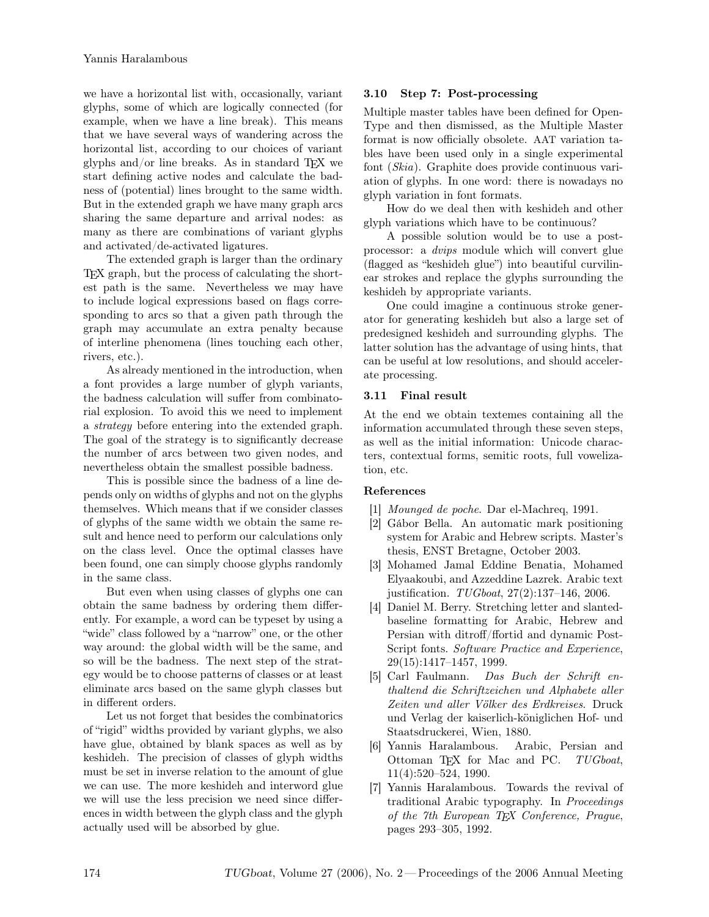we have a horizontal list with, occasionally, variant glyphs, some of which are logically connected (for example, when we have a line break). This means that we have several ways of wandering across the horizontal list, according to our choices of variant glyphs and/or line breaks. As in standard  $T_{F}X$  we start defining active nodes and calculate the badness of (potential) lines brought to the same width. But in the extended graph we have many graph arcs sharing the same departure and arrival nodes: as many as there are combinations of variant glyphs and activated/de-activated ligatures.

The extended graph is larger than the ordinary TEX graph, but the process of calculating the shortest path is the same. Nevertheless we may have to include logical expressions based on flags corresponding to arcs so that a given path through the graph may accumulate an extra penalty because of interline phenomena (lines touching each other, rivers, etc.).

As already mentioned in the introduction, when a font provides a large number of glyph variants, the badness calculation will suffer from combinatorial explosion. To avoid this we need to implement a strategy before entering into the extended graph. The goal of the strategy is to significantly decrease the number of arcs between two given nodes, and nevertheless obtain the smallest possible badness.

This is possible since the badness of a line depends only on widths of glyphs and not on the glyphs themselves. Which means that if we consider classes of glyphs of the same width we obtain the same result and hence need to perform our calculations only on the class level. Once the optimal classes have been found, one can simply choose glyphs randomly in the same class.

But even when using classes of glyphs one can obtain the same badness by ordering them differently. For example, a word can be typeset by using a "wide" class followed by a "narrow" one, or the other way around: the global width will be the same, and so will be the badness. The next step of the strategy would be to choose patterns of classes or at least eliminate arcs based on the same glyph classes but in different orders.

Let us not forget that besides the combinatorics of "rigid" widths provided by variant glyphs, we also have glue, obtained by blank spaces as well as by keshideh. The precision of classes of glyph widths must be set in inverse relation to the amount of glue we can use. The more keshideh and interword glue we will use the less precision we need since differences in width between the glyph class and the glyph actually used will be absorbed by glue.

## 3.10 Step 7: Post-processing

Multiple master tables have been defined for Open-Type and then dismissed, as the Multiple Master format is now officially obsolete. AAT variation tables have been used only in a single experimental font (Skia). Graphite does provide continuous variation of glyphs. In one word: there is nowadays no glyph variation in font formats.

How do we deal then with keshideh and other glyph variations which have to be continuous?

A possible solution would be to use a postprocessor: a dvips module which will convert glue (flagged as "keshideh glue") into beautiful curvilinear strokes and replace the glyphs surrounding the keshideh by appropriate variants.

One could imagine a continuous stroke generator for generating keshideh but also a large set of predesigned keshideh and surrounding glyphs. The latter solution has the advantage of using hints, that can be useful at low resolutions, and should accelerate processing.

#### 3.11 Final result

At the end we obtain textemes containing all the information accumulated through these seven steps, as well as the initial information: Unicode characters, contextual forms, semitic roots, full vowelization, etc.

#### References

- [1] Mounged de poche. Dar el-Machreq, 1991.
- [2] Gábor Bella. An automatic mark positioning system for Arabic and Hebrew scripts. Master's thesis, ENST Bretagne, October 2003.
- [3] Mohamed Jamal Eddine Benatia, Mohamed Elyaakoubi, and Azzeddine Lazrek. Arabic text justification. TUGboat, 27(2):137-146, 2006.
- [4] Daniel M. Berry. Stretching letter and slantedbaseline formatting for Arabic, Hebrew and Persian with ditroff/ffortid and dynamic Post-Script fonts. Software Practice and Experience, 29(15):1417–1457, 1999.
- [5] Carl Faulmann. Das Buch der Schrift enthaltend die Schriftzeichen und Alphabete aller Zeiten und aller Völker des Erdkreises. Druck und Verlag der kaiserlich-königlichen Hof- und Staatsdruckerei, Wien, 1880.
- [6] Yannis Haralambous. Arabic, Persian and Ottoman TFX for Mac and PC. TUGboat, 11(4):520–524, 1990.
- [7] Yannis Haralambous. Towards the revival of traditional Arabic typography. In Proceedings of the 7th European TEX Conference, Prague, pages 293–305, 1992.